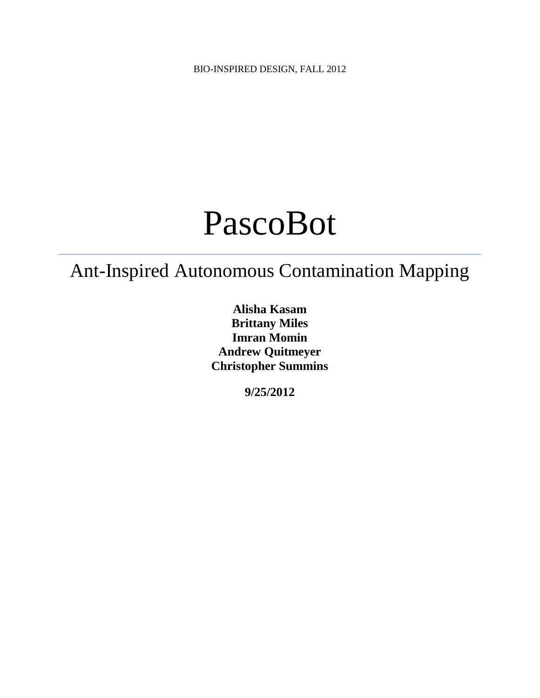BIO-INSPIRED DESIGN, FALL 2012

# PascoBot

# Ant-Inspired Autonomous Contamination Mapping

**Alisha Kasam Brittany Miles Imran Momin Andrew Quitmeyer Christopher Summins**

**9/25/2012**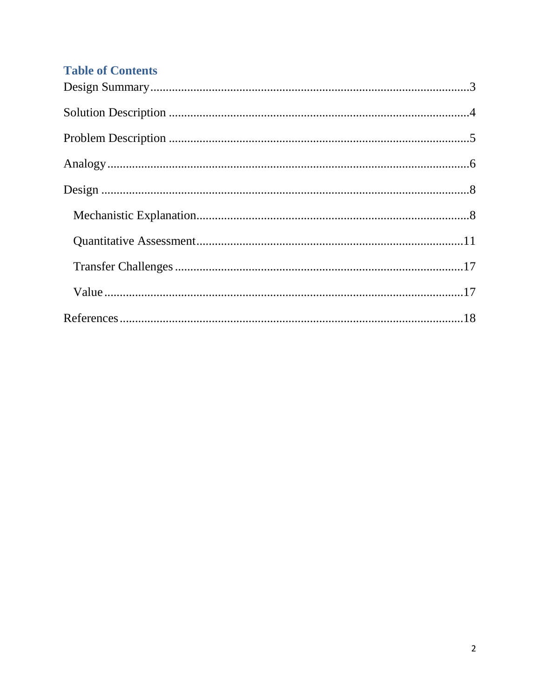# **Table of Contents**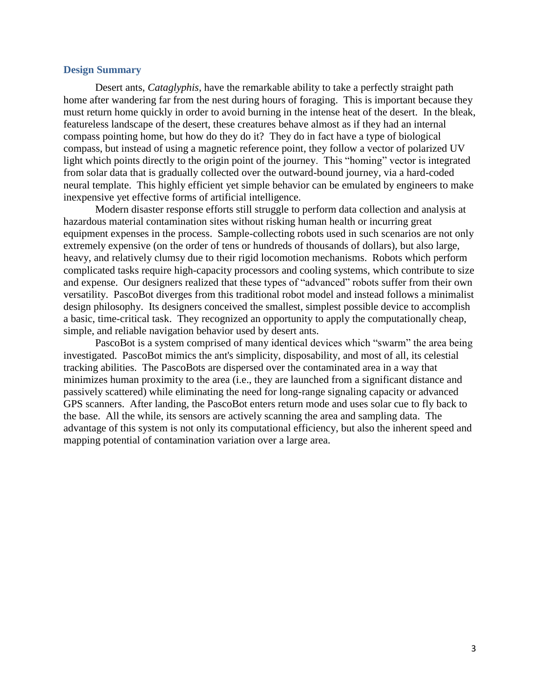# **Design Summary**

<span id="page-2-0"></span>Desert ants, *Cataglyphis*, have the remarkable ability to take a perfectly straight path home after wandering far from the nest during hours of foraging. This is important because they must return home quickly in order to avoid burning in the intense heat of the desert. In the bleak, featureless landscape of the desert, these creatures behave almost as if they had an internal compass pointing home, but how do they do it? They do in fact have a type of biological compass, but instead of using a magnetic reference point, they follow a vector of polarized UV light which points directly to the origin point of the journey. This "homing" vector is integrated from solar data that is gradually collected over the outward-bound journey, via a hard-coded neural template. This highly efficient yet simple behavior can be emulated by engineers to make inexpensive yet effective forms of artificial intelligence.

Modern disaster response efforts still struggle to perform data collection and analysis at hazardous material contamination sites without risking human health or incurring great equipment expenses in the process. Sample-collecting robots used in such scenarios are not only extremely expensive (on the order of tens or hundreds of thousands of dollars), but also large, heavy, and relatively clumsy due to their rigid locomotion mechanisms. Robots which perform complicated tasks require high-capacity processors and cooling systems, which contribute to size and expense. Our designers realized that these types of "advanced" robots suffer from their own versatility. PascoBot diverges from this traditional robot model and instead follows a minimalist design philosophy. Its designers conceived the smallest, simplest possible device to accomplish a basic, time-critical task. They recognized an opportunity to apply the computationally cheap, simple, and reliable navigation behavior used by desert ants.

<span id="page-2-1"></span>PascoBot is a system comprised of many identical devices which "swarm" the area being investigated. PascoBot mimics the ant's simplicity, disposability, and most of all, its celestial tracking abilities. The PascoBots are dispersed over the contaminated area in a way that minimizes human proximity to the area (i.e., they are launched from a significant distance and passively scattered) while eliminating the need for long-range signaling capacity or advanced GPS scanners. After landing, the PascoBot enters return mode and uses solar cue to fly back to the base. All the while, its sensors are actively scanning the area and sampling data. The advantage of this system is not only its computational efficiency, but also the inherent speed and mapping potential of contamination variation over a large area.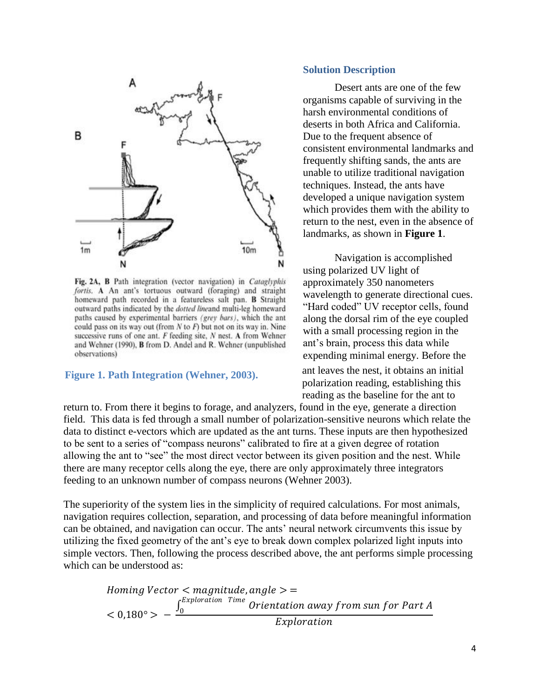

Fig. 2A, B Path integration (vector navigation) in Cataglyphis fortis. A An ant's tortuous outward (foraging) and straight homeward path recorded in a featureless salt pan. B Straight outward paths indicated by the *dotted lineand* multi-leg homeward paths caused by experimental barriers (grey bars), which the ant could pass on its way out (from  $N$  to  $F$ ) but not on its way in. Nine successive runs of one ant. F feeding site, N nest. A from Wehner and Wehner (1990), B from D. Andel and R. Wehner (unpublished observations)

# **Figure 1. Path Integration (Wehner, 2003).**

# **Solution Description**

Desert ants are one of the few organisms capable of surviving in the harsh environmental conditions of deserts in both Africa and California. Due to the frequent absence of consistent environmental landmarks and frequently shifting sands, the ants are unable to utilize traditional navigation techniques. Instead, the ants have developed a unique navigation system which provides them with the ability to return to the nest, even in the absence of landmarks, as shown in **Figure 1**.

Navigation is accomplished using polarized UV light of approximately 350 nanometers wavelength to generate directional cues. "Hard coded" UV receptor cells, found along the dorsal rim of the eye coupled with a small processing region in the ant's brain, process this data while expending minimal energy. Before the

ant leaves the nest, it obtains an initial polarization reading, establishing this reading as the baseline for the ant to

return to. From there it begins to forage, and analyzers, found in the eye, generate a direction field. This data is fed through a small number of polarization-sensitive neurons which relate the data to distinct e-vectors which are updated as the ant turns. These inputs are then hypothesized to be sent to a series of "compass neurons" calibrated to fire at a given degree of rotation allowing the ant to "see" the most direct vector between its given position and the nest. While there are many receptor cells along the eye, there are only approximately three integrators feeding to an unknown number of compass neurons (Wehner 2003).

The superiority of the system lies in the simplicity of required calculations. For most animals, navigation requires collection, separation, and processing of data before meaningful information can be obtained, and navigation can occur. The ants' neural network circumvents this issue by utilizing the fixed geometry of the ant's eye to break down complex polarized light inputs into simple vectors. Then, following the process described above, the ant performs simple processing which can be understood as:

Homing Vector  $\langle$  magnitude, angle  $\rangle$  =  $< 0.180° > \int_0^{Exploration}$  Time Orientation away from sun for Part A 0 Exploration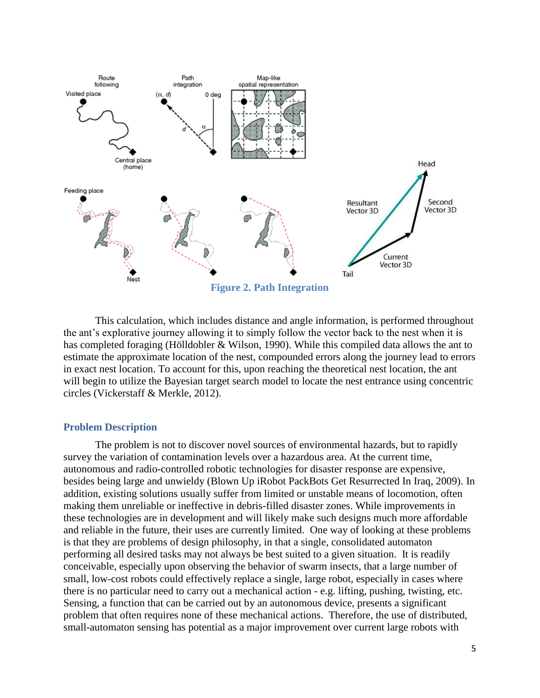

This calculation, which includes distance and angle information, is performed throughout the ant's explorative journey allowing it to simply follow the vector back to the nest when it is has completed foraging (Hölldobler & Wilson, 1990). While this compiled data allows the ant to estimate the approximate location of the nest, compounded errors along the journey lead to errors in exact nest location. To account for this, upon reaching the theoretical nest location, the ant will begin to utilize the Bayesian target search model to locate the nest entrance using concentric circles (Vickerstaff & Merkle, 2012).

# <span id="page-4-0"></span>**Problem Description**

The problem is not to discover novel sources of environmental hazards, but to rapidly survey the variation of contamination levels over a hazardous area. At the current time, autonomous and radio-controlled robotic technologies for disaster response are expensive, besides being large and unwieldy (Blown Up iRobot PackBots Get Resurrected In Iraq, 2009). In addition, existing solutions usually suffer from limited or unstable means of locomotion, often making them unreliable or ineffective in debris-filled disaster zones. While improvements in these technologies are in development and will likely make such designs much more affordable and reliable in the future, their uses are currently limited. One way of looking at these problems is that they are problems of design philosophy, in that a single, consolidated automaton performing all desired tasks may not always be best suited to a given situation. It is readily conceivable, especially upon observing the behavior of swarm insects, that a large number of small, low-cost robots could effectively replace a single, large robot, especially in cases where there is no particular need to carry out a mechanical action - e.g. lifting, pushing, twisting, etc. Sensing, a function that can be carried out by an autonomous device, presents a significant problem that often requires none of these mechanical actions. Therefore, the use of distributed, small-automaton sensing has potential as a major improvement over current large robots with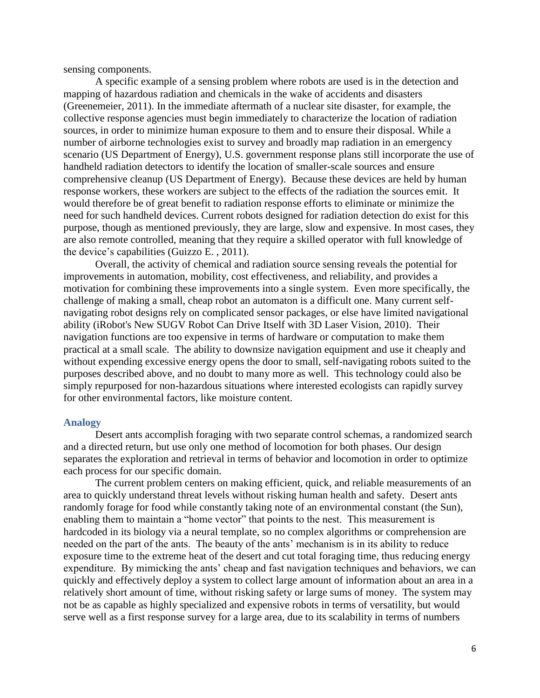sensing components.

A specific example of a sensing problem where robots are used is in the detection and mapping of hazardous radiation and chemicals in the wake of accidents and disasters (Greenemeier, 2011). In the immediate aftermath of a nuclear site disaster, for example, the collective response agencies must begin immediately to characterize the location of radiation sources, in order to minimize human exposure to them and to ensure their disposal. While a number of airborne technologies exist to survey and broadly map radiation in an emergency scenario (US Department of Energy), U.S. government response plans still incorporate the use of handheld radiation detectors to identify the location of smaller-scale sources and ensure comprehensive cleanup (US Department of Energy). Because these devices are held by human response workers, these workers are subject to the effects of the radiation the sources emit. It would therefore be of great benefit to radiation response efforts to eliminate or minimize the need for such handheld devices. Current robots designed for radiation detection do exist for this purpose, though as mentioned previously, they are large, slow and expensive. In most cases, they are also remote controlled, meaning that they require a skilled operator with full knowledge of the device's capabilities (Guizzo E. , 2011).

Overall, the activity of chemical and radiation source sensing reveals the potential for improvements in automation, mobility, cost effectiveness, and reliability, and provides a motivation for combining these improvements into a single system. Even more specifically, the challenge of making a small, cheap robot an automaton is a difficult one. Many current selfnavigating robot designs rely on complicated sensor packages, or else have limited navigational ability (iRobot's New SUGV Robot Can Drive Itself with 3D Laser Vision, 2010). Their navigation functions are too expensive in terms of hardware or computation to make them practical at a small scale. The ability to downsize navigation equipment and use it cheaply and without expending excessive energy opens the door to small, self-navigating robots suited to the purposes described above, and no doubt to many more as well. This technology could also be simply repurposed for non-hazardous situations where interested ecologists can rapidly survey for other environmental factors, like moisture content.

# <span id="page-5-0"></span>**Analogy**

Desert ants accomplish foraging with two separate control schemas, a randomized search and a directed return, but use only one method of locomotion for both phases. Our design separates the exploration and retrieval in terms of behavior and locomotion in order to optimize each process for our specific domain.

The current problem centers on making efficient, quick, and reliable measurements of an area to quickly understand threat levels without risking human health and safety. Desert ants randomly forage for food while constantly taking note of an environmental constant (the Sun), enabling them to maintain a "home vector" that points to the nest. This measurement is hardcoded in its biology via a neural template, so no complex algorithms or comprehension are needed on the part of the ants. The beauty of the ants' mechanism is in its ability to reduce exposure time to the extreme heat of the desert and cut total foraging time, thus reducing energy expenditure. By mimicking the ants' cheap and fast navigation techniques and behaviors, we can quickly and effectively deploy a system to collect large amount of information about an area in a relatively short amount of time, without risking safety or large sums of money. The system may not be as capable as highly specialized and expensive robots in terms of versatility, but would serve well as a first response survey for a large area, due to its scalability in terms of numbers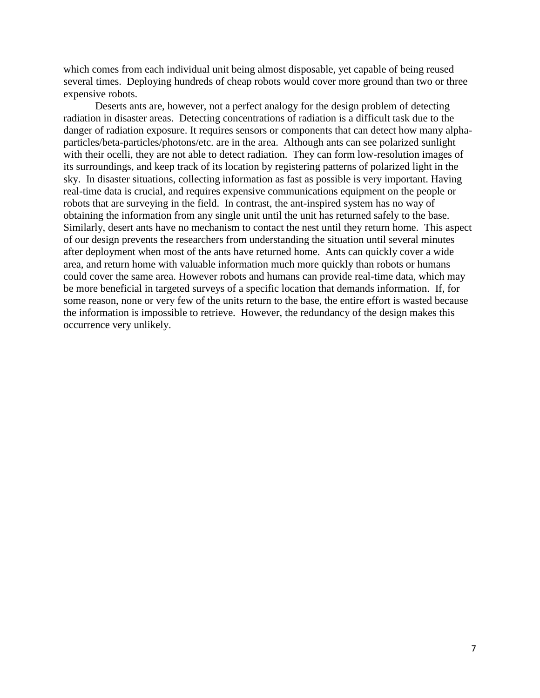which comes from each individual unit being almost disposable, yet capable of being reused several times. Deploying hundreds of cheap robots would cover more ground than two or three expensive robots.

Deserts ants are, however, not a perfect analogy for the design problem of detecting radiation in disaster areas. Detecting concentrations of radiation is a difficult task due to the danger of radiation exposure. It requires sensors or components that can detect how many alphaparticles/beta-particles/photons/etc. are in the area. Although ants can see polarized sunlight with their ocelli, they are not able to detect radiation. They can form low-resolution images of its surroundings, and keep track of its location by registering patterns of polarized light in the sky. In disaster situations, collecting information as fast as possible is very important. Having real-time data is crucial, and requires expensive communications equipment on the people or robots that are surveying in the field. In contrast, the ant-inspired system has no way of obtaining the information from any single unit until the unit has returned safely to the base. Similarly, desert ants have no mechanism to contact the nest until they return home. This aspect of our design prevents the researchers from understanding the situation until several minutes after deployment when most of the ants have returned home. Ants can quickly cover a wide area, and return home with valuable information much more quickly than robots or humans could cover the same area. However robots and humans can provide real-time data, which may be more beneficial in targeted surveys of a specific location that demands information. If, for some reason, none or very few of the units return to the base, the entire effort is wasted because the information is impossible to retrieve. However, the redundancy of the design makes this occurrence very unlikely.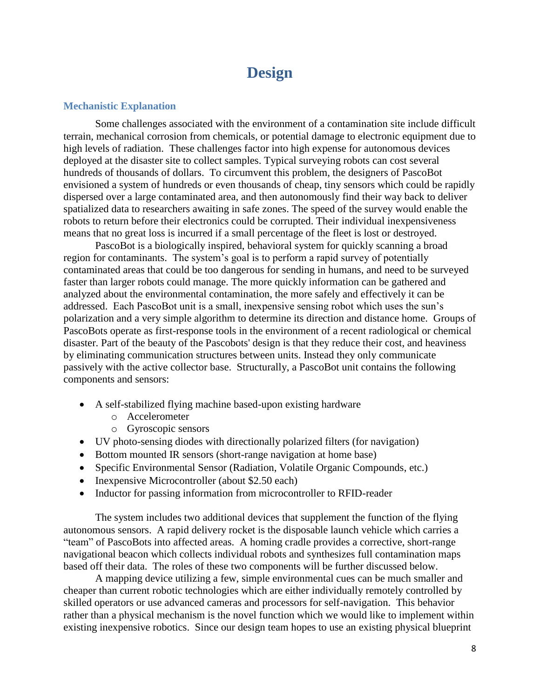# **Design**

# <span id="page-7-1"></span><span id="page-7-0"></span>**Mechanistic Explanation**

Some challenges associated with the environment of a contamination site include difficult terrain, mechanical corrosion from chemicals, or potential damage to electronic equipment due to high levels of radiation. These challenges factor into high expense for autonomous devices deployed at the disaster site to collect samples. Typical surveying robots can cost several hundreds of thousands of dollars. To circumvent this problem, the designers of PascoBot envisioned a system of hundreds or even thousands of cheap, tiny sensors which could be rapidly dispersed over a large contaminated area, and then autonomously find their way back to deliver spatialized data to researchers awaiting in safe zones. The speed of the survey would enable the robots to return before their electronics could be corrupted. Their individual inexpensiveness means that no great loss is incurred if a small percentage of the fleet is lost or destroyed.

PascoBot is a biologically inspired, behavioral system for quickly scanning a broad region for contaminants. The system's goal is to perform a rapid survey of potentially contaminated areas that could be too dangerous for sending in humans, and need to be surveyed faster than larger robots could manage. The more quickly information can be gathered and analyzed about the environmental contamination, the more safely and effectively it can be addressed. Each PascoBot unit is a small, inexpensive sensing robot which uses the sun's polarization and a very simple algorithm to determine its direction and distance home. Groups of PascoBots operate as first-response tools in the environment of a recent radiological or chemical disaster. Part of the beauty of the Pascobots' design is that they reduce their cost, and heaviness by eliminating communication structures between units. Instead they only communicate passively with the active collector base. Structurally, a PascoBot unit contains the following components and sensors:

- A self-stabilized flying machine based-upon existing hardware
	- o Accelerometer
	- o Gyroscopic sensors
- UV photo-sensing diodes with directionally polarized filters (for navigation)
- Bottom mounted IR sensors (short-range navigation at home base)
- Specific Environmental Sensor (Radiation, Volatile Organic Compounds, etc.)
- Inexpensive Microcontroller (about \$2.50 each)
- Inductor for passing information from microcontroller to RFID-reader

The system includes two additional devices that supplement the function of the flying autonomous sensors. A rapid delivery rocket is the disposable launch vehicle which carries a "team" of PascoBots into affected areas. A homing cradle provides a corrective, short-range navigational beacon which collects individual robots and synthesizes full contamination maps based off their data. The roles of these two components will be further discussed below.

A mapping device utilizing a few, simple environmental cues can be much smaller and cheaper than current robotic technologies which are either individually remotely controlled by skilled operators or use advanced cameras and processors for self-navigation. This behavior rather than a physical mechanism is the novel function which we would like to implement within existing inexpensive robotics. Since our design team hopes to use an existing physical blueprint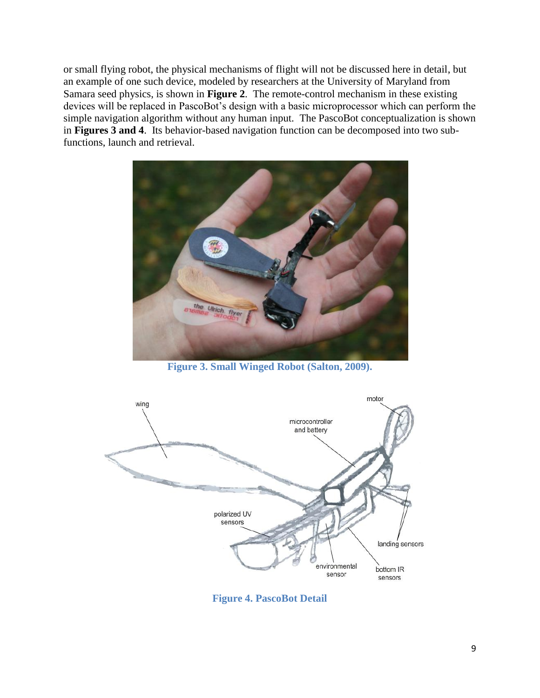or small flying robot, the physical mechanisms of flight will not be discussed here in detail, but an example of one such device, modeled by researchers at the University of Maryland from Samara seed physics, is shown in **Figure 2**. The remote-control mechanism in these existing devices will be replaced in PascoBot's design with a basic microprocessor which can perform the simple navigation algorithm without any human input. The PascoBot conceptualization is shown in **Figures 3 and 4**. Its behavior-based navigation function can be decomposed into two subfunctions, launch and retrieval.



**Figure 3. Small Winged Robot (Salton, 2009).**



**Figure 4. PascoBot Detail**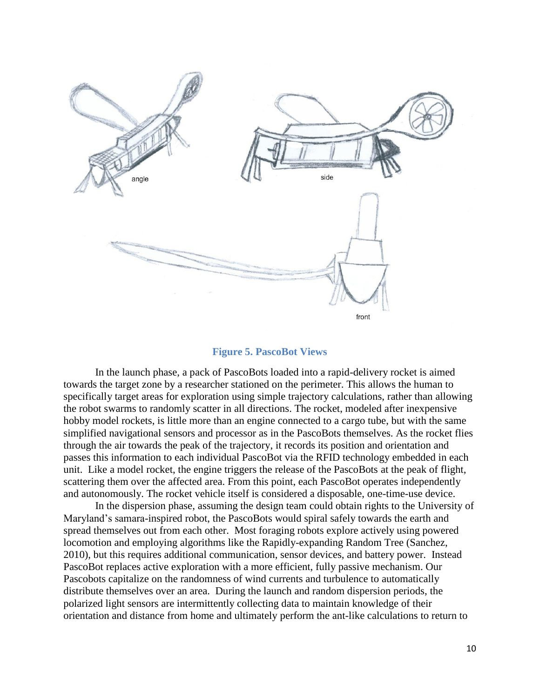

### **Figure 5. PascoBot Views**

In the launch phase, a pack of PascoBots loaded into a rapid-delivery rocket is aimed towards the target zone by a researcher stationed on the perimeter. This allows the human to specifically target areas for exploration using simple trajectory calculations, rather than allowing the robot swarms to randomly scatter in all directions. The rocket, modeled after inexpensive hobby model rockets, is little more than an engine connected to a cargo tube, but with the same simplified navigational sensors and processor as in the PascoBots themselves. As the rocket flies through the air towards the peak of the trajectory, it records its position and orientation and passes this information to each individual PascoBot via the RFID technology embedded in each unit. Like a model rocket, the engine triggers the release of the PascoBots at the peak of flight, scattering them over the affected area. From this point, each PascoBot operates independently and autonomously. The rocket vehicle itself is considered a disposable, one-time-use device.

In the dispersion phase, assuming the design team could obtain rights to the University of Maryland's samara-inspired robot, the PascoBots would spiral safely towards the earth and spread themselves out from each other. Most foraging robots explore actively using powered locomotion and employing algorithms like the Rapidly-expanding Random Tree (Sanchez, 2010), but this requires additional communication, sensor devices, and battery power. Instead PascoBot replaces active exploration with a more efficient, fully passive mechanism. Our Pascobots capitalize on the randomness of wind currents and turbulence to automatically distribute themselves over an area. During the launch and random dispersion periods, the polarized light sensors are intermittently collecting data to maintain knowledge of their orientation and distance from home and ultimately perform the ant-like calculations to return to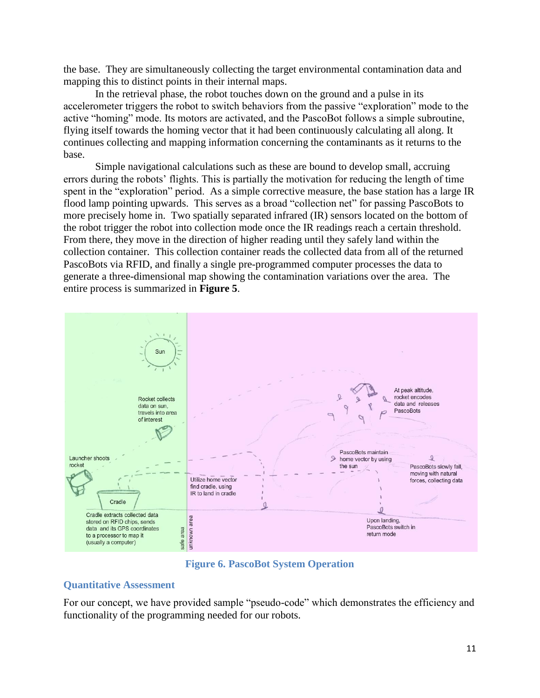the base. They are simultaneously collecting the target environmental contamination data and mapping this to distinct points in their internal maps.

In the retrieval phase, the robot touches down on the ground and a pulse in its accelerometer triggers the robot to switch behaviors from the passive "exploration" mode to the active "homing" mode. Its motors are activated, and the PascoBot follows a simple subroutine, flying itself towards the homing vector that it had been continuously calculating all along. It continues collecting and mapping information concerning the contaminants as it returns to the base.

Simple navigational calculations such as these are bound to develop small, accruing errors during the robots' flights. This is partially the motivation for reducing the length of time spent in the "exploration" period. As a simple corrective measure, the base station has a large IR flood lamp pointing upwards. This serves as a broad "collection net" for passing PascoBots to more precisely home in. Two spatially separated infrared (IR) sensors located on the bottom of the robot trigger the robot into collection mode once the IR readings reach a certain threshold. From there, they move in the direction of higher reading until they safely land within the collection container. This collection container reads the collected data from all of the returned PascoBots via RFID, and finally a single pre-programmed computer processes the data to generate a three-dimensional map showing the contamination variations over the area. The entire process is summarized in **Figure 5**.



**Figure 6. PascoBot System Operation**

# <span id="page-10-0"></span>**Quantitative Assessment**

For our concept, we have provided sample "pseudo-code" which demonstrates the efficiency and functionality of the programming needed for our robots.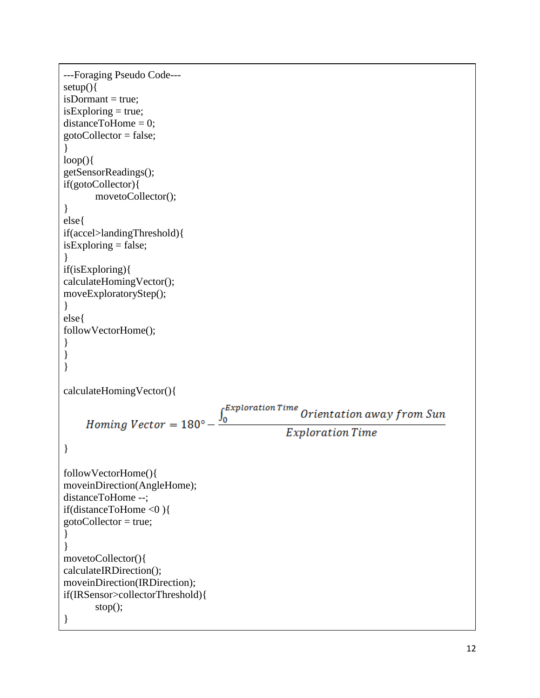```
---Foraging Pseudo Code---
setup(){ isDormant = true;isExploring = true;distanceToHome = 0;gotoCollector = false;}
loop()getSensorReadings();
if(gotoCollector){
       movetoCollector();
}
else{
if(accel>landingThreshold){
isExploring = false;}
if(isExploring){
calculateHomingVector();
moveExploratoryStep(); }
else{
followVectorHome(); }}}
\mathcal{F}\}\mathcal{E}calculateHomingVector(){ fExploration Time
                                                     Orientation away from Sun
     Homing Vector = 180^\circ -
                                   J_0Exploration Time
}
followVectorHome(){
moveinDirection(AngleHome);
distanceToHome --
;
if(distanceToHome <0 ){
gotoCollector = true;}}
movetoCollector(){
calculateIRDirection();
moveinDirection(IRDirection);
if(IRSensor>collectorThreshold){
       stop();
}
```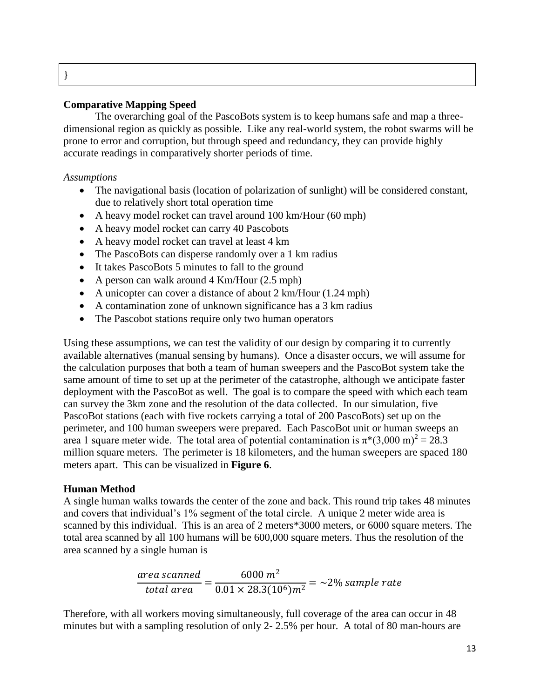# **Comparative Mapping Speed**

The overarching goal of the PascoBots system is to keep humans safe and map a threedimensional region as quickly as possible. Like any real-world system, the robot swarms will be prone to error and corruption, but through speed and redundancy, they can provide highly accurate readings in comparatively shorter periods of time.

# *Assumptions*

}

- The navigational basis (location of polarization of sunlight) will be considered constant, due to relatively short total operation time
- A heavy model rocket can travel around 100 km/Hour (60 mph)
- A heavy model rocket can carry 40 Pascobots
- A heavy model rocket can travel at least 4 km
- The PascoBots can disperse randomly over a 1 km radius
- It takes PascoBots 5 minutes to fall to the ground
- A person can walk around 4 Km/Hour (2.5 mph)
- A unicopter can cover a distance of about 2 km/Hour (1.24 mph)
- A contamination zone of unknown significance has a 3 km radius
- The Pascobot stations require only two human operators

Using these assumptions, we can test the validity of our design by comparing it to currently available alternatives (manual sensing by humans). Once a disaster occurs, we will assume for the calculation purposes that both a team of human sweepers and the PascoBot system take the same amount of time to set up at the perimeter of the catastrophe, although we anticipate faster deployment with the PascoBot as well. The goal is to compare the speed with which each team can survey the 3km zone and the resolution of the data collected. In our simulation, five PascoBot stations (each with five rockets carrying a total of 200 PascoBots) set up on the perimeter, and 100 human sweepers were prepared. Each PascoBot unit or human sweeps an area 1 square meter wide. The total area of potential contamination is  $\pi^*(3,000 \text{ m})^2 = 28.3$ million square meters. The perimeter is 18 kilometers, and the human sweepers are spaced 180 meters apart. This can be visualized in **Figure 6**.

# **Human Method**

A single human walks towards the center of the zone and back. This round trip takes 48 minutes and covers that individual's 1% segment of the total circle. A unique 2 meter wide area is scanned by this individual. This is an area of 2 meters\*3000 meters, or 6000 square meters. The total area scanned by all 100 humans will be 600,000 square meters. Thus the resolution of the area scanned by a single human is

$$
\frac{area\ scanned}{total\ area} = \frac{6000\ m^2}{0.01 \times 28.3(10^6)m^2} = \sim 2\% \ sample\ rate
$$

Therefore, with all workers moving simultaneously, full coverage of the area can occur in 48 minutes but with a sampling resolution of only 2- 2.5% per hour. A total of 80 man-hours are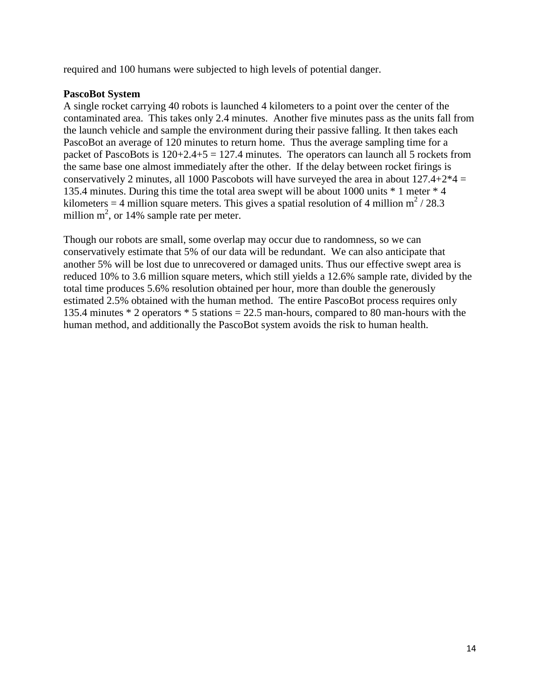required and 100 humans were subjected to high levels of potential danger.

# **PascoBot System**

A single rocket carrying 40 robots is launched 4 kilometers to a point over the center of the contaminated area. This takes only 2.4 minutes. Another five minutes pass as the units fall from the launch vehicle and sample the environment during their passive falling. It then takes each PascoBot an average of 120 minutes to return home. Thus the average sampling time for a packet of PascoBots is  $120+2.4+5 = 127.4$  minutes. The operators can launch all 5 rockets from the same base one almost immediately after the other. If the delay between rocket firings is conservatively 2 minutes, all 1000 Pascobots will have surveyed the area in about  $127.4+2*4 =$ 135.4 minutes. During this time the total area swept will be about 1000 units \* 1 meter \* 4 kilometers = 4 million square meters. This gives a spatial resolution of 4 million  $m^2/28.3$ million  $m^2$ , or 14% sample rate per meter.

Though our robots are small, some overlap may occur due to randomness, so we can conservatively estimate that 5% of our data will be redundant. We can also anticipate that another 5% will be lost due to unrecovered or damaged units. Thus our effective swept area is reduced 10% to 3.6 million square meters, which still yields a 12.6% sample rate, divided by the total time produces 5.6% resolution obtained per hour, more than double the generously estimated 2.5% obtained with the human method. The entire PascoBot process requires only 135.4 minutes \* 2 operators \* 5 stations = 22.5 man-hours, compared to 80 man-hours with the human method, and additionally the PascoBot system avoids the risk to human health.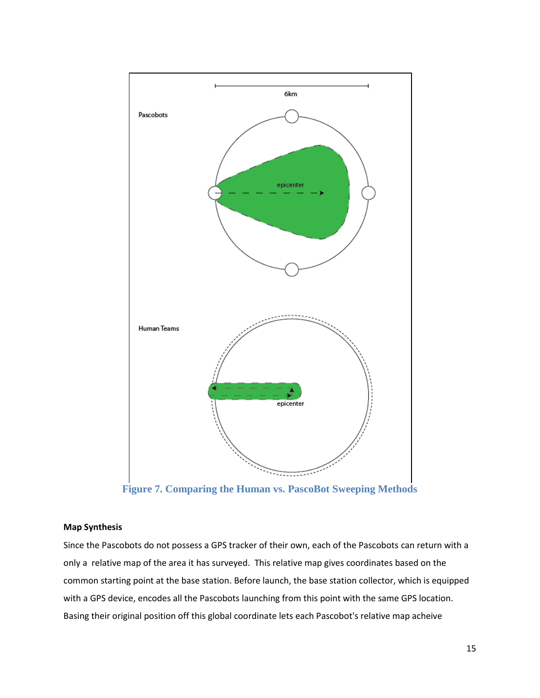

**Figure 7. Comparing the Human vs. PascoBot Sweeping Methods**

### **Map Synthesis**

Since the Pascobots do not possess a GPS tracker of their own, each of the Pascobots can return with a only a relative map of the area it has surveyed. This relative map gives coordinates based on the common starting point at the base station. Before launch, the base station collector, which is equipped with a GPS device, encodes all the Pascobots launching from this point with the same GPS location. Basing their original position off this global coordinate lets each Pascobot's relative map acheive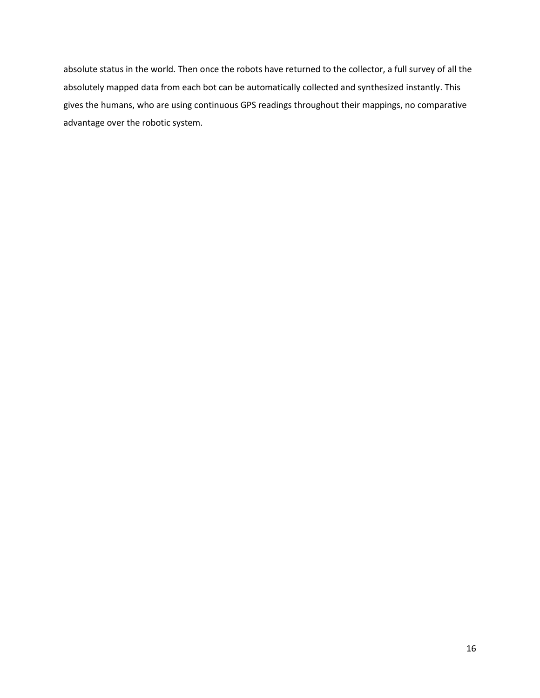absolute status in the world. Then once the robots have returned to the collector, a full survey of all the absolutely mapped data from each bot can be automatically collected and synthesized instantly. This gives the humans, who are using continuous GPS readings throughout their mappings, no comparative advantage over the robotic system.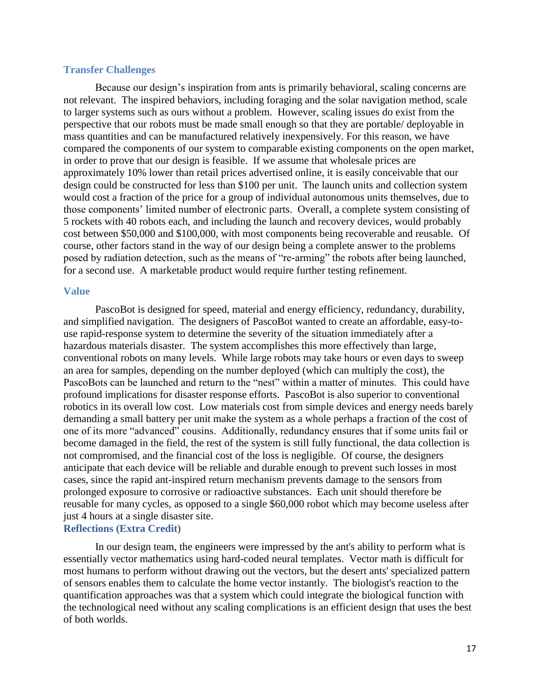# <span id="page-16-0"></span>**Transfer Challenges**

Because our design's inspiration from ants is primarily behavioral, scaling concerns are not relevant. The inspired behaviors, including foraging and the solar navigation method, scale to larger systems such as ours without a problem. However, scaling issues do exist from the perspective that our robots must be made small enough so that they are portable/ deployable in mass quantities and can be manufactured relatively inexpensively. For this reason, we have compared the components of our system to comparable existing components on the open market, in order to prove that our design is feasible. If we assume that wholesale prices are approximately 10% lower than retail prices advertised online, it is easily conceivable that our design could be constructed for less than \$100 per unit. The launch units and collection system would cost a fraction of the price for a group of individual autonomous units themselves, due to those components' limited number of electronic parts. Overall, a complete system consisting of 5 rockets with 40 robots each, and including the launch and recovery devices, would probably cost between \$50,000 and \$100,000, with most components being recoverable and reusable. Of course, other factors stand in the way of our design being a complete answer to the problems posed by radiation detection, such as the means of "re-arming" the robots after being launched, for a second use. A marketable product would require further testing refinement.

#### <span id="page-16-1"></span>**Value**

of both worlds.

PascoBot is designed for speed, material and energy efficiency, redundancy, durability, and simplified navigation. The designers of PascoBot wanted to create an affordable, easy-touse rapid-response system to determine the severity of the situation immediately after a hazardous materials disaster. The system accomplishes this more effectively than large, conventional robots on many levels. While large robots may take hours or even days to sweep an area for samples, depending on the number deployed (which can multiply the cost), the PascoBots can be launched and return to the "nest" within a matter of minutes. This could have profound implications for disaster response efforts. PascoBot is also superior to conventional robotics in its overall low cost. Low materials cost from simple devices and energy needs barely demanding a small battery per unit make the system as a whole perhaps a fraction of the cost of one of its more "advanced" cousins. Additionally, redundancy ensures that if some units fail or become damaged in the field, the rest of the system is still fully functional, the data collection is not compromised, and the financial cost of the loss is negligible. Of course, the designers anticipate that each device will be reliable and durable enough to prevent such losses in most cases, since the rapid ant-inspired return mechanism prevents damage to the sensors from prolonged exposure to corrosive or radioactive substances. Each unit should therefore be reusable for many cycles, as opposed to a single \$60,000 robot which may become useless after just 4 hours at a single disaster site. **Reflections (Extra Credit)**

# In our design team, the engineers were impressed by the ant's ability to perform what is essentially vector mathematics using hard-coded neural templates. Vector math is difficult for most humans to perform without drawing out the vectors, but the desert ants' specialized pattern of sensors enables them to calculate the home vector instantly. The biologist's reaction to the quantification approaches was that a system which could integrate the biological function with the technological need without any scaling complications is an efficient design that uses the best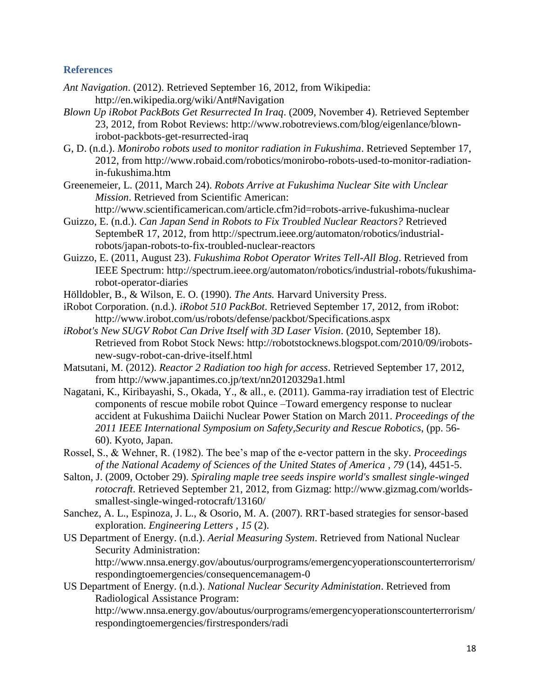# **References**

- <span id="page-17-0"></span>*Ant Navigation*. (2012). Retrieved September 16, 2012, from Wikipedia: http://en.wikipedia.org/wiki/Ant#Navigation
- *Blown Up iRobot PackBots Get Resurrected In Iraq*. (2009, November 4). Retrieved September 23, 2012, from Robot Reviews: http://www.robotreviews.com/blog/eigenlance/blownirobot-packbots-get-resurrected-iraq
- G, D. (n.d.). *Monirobo robots used to monitor radiation in Fukushima*. Retrieved September 17, 2012, from http://www.robaid.com/robotics/monirobo-robots-used-to-monitor-radiationin-fukushima.htm
- Greenemeier, L. (2011, March 24). *Robots Arrive at Fukushima Nuclear Site with Unclear Mission*. Retrieved from Scientific American:

http://www.scientificamerican.com/article.cfm?id=robots-arrive-fukushima-nuclear

- Guizzo, E. (n.d.). *Can Japan Send in Robots to Fix Troubled Nuclear Reactors?* Retrieved SeptembeR 17, 2012, from http://spectrum.ieee.org/automaton/robotics/industrialrobots/japan-robots-to-fix-troubled-nuclear-reactors
- Guizzo, E. (2011, August 23). *Fukushima Robot Operator Writes Tell-All Blog*. Retrieved from IEEE Spectrum: http://spectrum.ieee.org/automaton/robotics/industrial-robots/fukushimarobot-operator-diaries

Hölldobler, B., & Wilson, E. O. (1990). *The Ants.* Harvard University Press.

- iRobot Corporation. (n.d.). *iRobot 510 PackBot*. Retrieved September 17, 2012, from iRobot: http://www.irobot.com/us/robots/defense/packbot/Specifications.aspx
- *iRobot's New SUGV Robot Can Drive Itself with 3D Laser Vision*. (2010, September 18). Retrieved from Robot Stock News: http://robotstocknews.blogspot.com/2010/09/irobotsnew-sugv-robot-can-drive-itself.html
- Matsutani, M. (2012). *Reactor 2 Radiation too high for access*. Retrieved September 17, 2012, from http://www.japantimes.co.jp/text/nn20120329a1.html
- Nagatani, K., Kiribayashi, S., Okada, Y., & all., e. (2011). Gamma-ray irradiation test of Electric components of rescue mobile robot Quince –Toward emergency response to nuclear accident at Fukushima Daiichi Nuclear Power Station on March 2011. *Proceedings of the 2011 IEEE International Symposium on Safety,Security and Rescue Robotics*, (pp. 56- 60). Kyoto, Japan.
- Rossel, S., & Wehner, R. (1982). The bee's map of the e-vector pattern in the sky. *Proceedings of the National Academy of Sciences of the United States of America , 79* (14), 4451-5.
- Salton, J. (2009, October 29). *Spiraling maple tree seeds inspire world's smallest single-winged rotocraft*. Retrieved September 21, 2012, from Gizmag: http://www.gizmag.com/worldssmallest-single-winged-rotocraft/13160/
- Sanchez, A. L., Espinoza, J. L., & Osorio, M. A. (2007). RRT-based strategies for sensor-based exploration. *Engineering Letters , 15* (2).
- US Department of Energy. (n.d.). *Aerial Measuring System*. Retrieved from National Nuclear Security Administration: http://www.nnsa.energy.gov/aboutus/ourprograms/emergencyoperationscounterterrorism/

respondingtoemergencies/consequencemanagem-0 US Department of Energy. (n.d.). *National Nuclear Security Administation*. Retrieved from Radiological Assistance Program:

http://www.nnsa.energy.gov/aboutus/ourprograms/emergencyoperationscounterterrorism/ respondingtoemergencies/firstresponders/radi